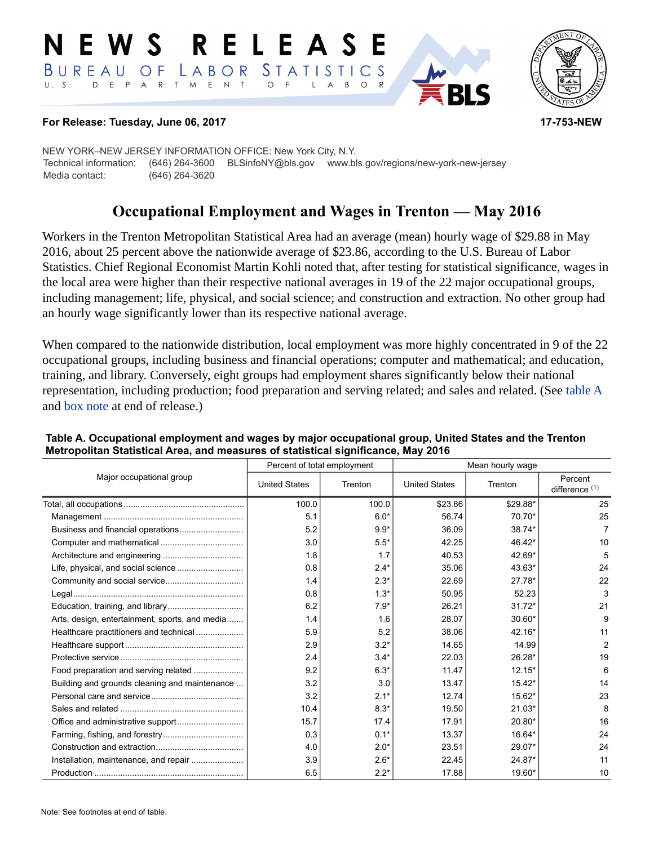#### RELEASE E W S LABOR STATISTICS BUREAU OF D E P A R T M E N T  $\circ$  $U. S.$  $\overline{A}$  $B$  $\circ$  $\mathsf{L}$



#### **For Release: Tuesday, June 06, 2017 17-753-NEW**

NEW YORK–NEW JERSEY INFORMATION OFFICE: New York City, N.Y. Technical information: (646) 264-3600 BLSinfoNY@bls.gov www.bls.gov/regions/new-york-new-jersey Media contact: (646) 264-3620

# **Occupational Employment and Wages in Trenton — May 2016**

Workers in the Trenton Metropolitan Statistical Area had an average (mean) hourly wage of \$29.88 in May 2016, about 25 percent above the nationwide average of \$23.86, according to the U.S. Bureau of Labor Statistics. Chief Regional Economist Martin Kohli noted that, after testing for statistical significance, wages in the local area were higher than their respective national averages in 19 of the 22 major occupational groups, including management; life, physical, and social science; and construction and extraction. No other group had an hourly wage significantly lower than its respective national average.

When compared to the nationwide distribution, local employment was more highly concentrated in 9 of the 22 occupational groups, including business and financial operations; computer and mathematical; and education, training, and library. Conversely, eight groups had employment shares significantly below their national representation, including production; food preparation and serving related; and sales and related. (See table A and [box note](#page-1-0) at end of release.)

|                                                |                      | Percent of total employment | Mean hourly wage     |          |                           |  |
|------------------------------------------------|----------------------|-----------------------------|----------------------|----------|---------------------------|--|
| Major occupational group                       | <b>United States</b> | Trenton                     | <b>United States</b> | Trenton  | Percent<br>difference (1) |  |
|                                                | 100.0                | 100.0                       | \$23.86              | \$29.88* | 25                        |  |
|                                                | 5.1                  | $6.0*$                      | 56.74                | 70.70*   | 25                        |  |
|                                                | 5.2                  | $9.9*$                      | 36.09                | 38.74*   | 7                         |  |
|                                                | 3.0                  | $5.5*$                      | 42.25                | 46.42*   | 10                        |  |
|                                                | 1.8                  | 1.7                         | 40.53                | 42.69*   | 5                         |  |
|                                                | 0.8                  | $2.4*$                      | 35.06                | 43.63*   | 24                        |  |
|                                                | 1.4                  | $2.3*$                      | 22.69                | $27.78*$ | 22                        |  |
|                                                | 0.8                  | $1.3*$                      | 50.95                | 52.23    | 3                         |  |
|                                                | 6.2                  | $7.9*$                      | 26.21                | $31.72*$ | 21                        |  |
| Arts, design, entertainment, sports, and media | 1.4                  | 1.6                         | 28.07                | 30.60*   | 9                         |  |
| Healthcare practitioners and technical         | 5.9                  | 5.2                         | 38.06                | $42.16*$ | 11                        |  |
|                                                | 2.9                  | $3.2*$                      | 14.65                | 14.99    | 2                         |  |
|                                                | 2.4                  | $3.4*$                      | 22.03                | 26.28*   | 19                        |  |
| Food preparation and serving related           | 9.2                  | $6.3*$                      | 11.47                | $12.15*$ | 6                         |  |
| Building and grounds cleaning and maintenance  | 3.2                  | 3.0                         | 13.47                | $15.42*$ | 14                        |  |
|                                                | 3.2                  | $2.1*$                      | 12.74                | 15.62*   | 23                        |  |
|                                                | 10.4                 | $8.3*$                      | 19.50                | $21.03*$ | 8                         |  |
|                                                | 15.7                 | 17.4                        | 17.91                | 20.80*   | 16                        |  |
|                                                | 0.3                  | $0.1*$                      | 13.37                | 16.64*   | 24                        |  |
|                                                | 4.0                  | $2.0*$                      | 23.51                | 29.07*   | 24                        |  |
| Installation, maintenance, and repair          | 3.9                  | $2.6*$                      | 22.45                | 24.87*   | 11                        |  |
|                                                | 6.5                  | $2.2*$                      | 17.88                | 19.60*   | 10                        |  |

### **Table A. Occupational employment and wages by major occupational group, United States and the Trenton Metropolitan Statistical Area, and measures of statistical significance, May 2016**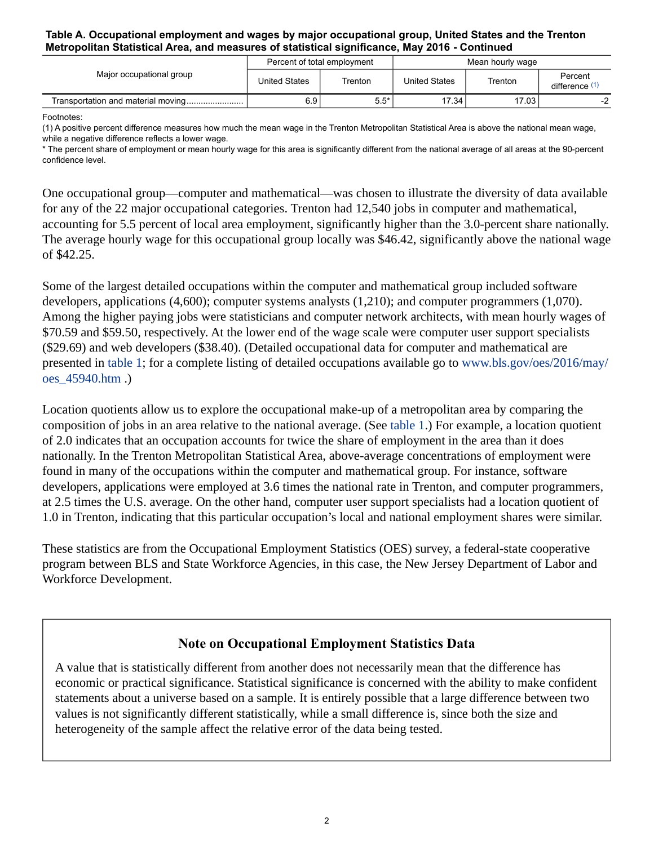#### **Table A. Occupational employment and wages by major occupational group, United States and the Trenton Metropolitan Statistical Area, and measures of statistical significance, May 2016 - Continued**

| Major occupational group           | Percent of total employment |         | Mean hourly wage     |         |                           |
|------------------------------------|-----------------------------|---------|----------------------|---------|---------------------------|
|                                    | United States               | Trenton | <b>United States</b> | Trenton | Percent<br>difference (1) |
| Transportation and material moving | 6.9                         | $5.5*$  | 17.34                | 17.03   |                           |

Footnotes:

<span id="page-1-1"></span>(1) A positive percent difference measures how much the mean wage in the Trenton Metropolitan Statistical Area is above the national mean wage, while a negative difference reflects a lower wage.

\* The percent share of employment or mean hourly wage for this area is significantly different from the national average of all areas at the 90-percent confidence level.

One occupational group—computer and mathematical—was chosen to illustrate the diversity of data available for any of the 22 major occupational categories. Trenton had 12,540 jobs in computer and mathematical, accounting for 5.5 percent of local area employment, significantly higher than the 3.0-percent share nationally. The average hourly wage for this occupational group locally was \$46.42, significantly above the national wage of \$42.25.

Some of the largest detailed occupations within the computer and mathematical group included software developers, applications (4,600); computer systems analysts (1,210); and computer programmers (1,070). Among the higher paying jobs were statisticians and computer network architects, with mean hourly wages of \$70.59 and \$59.50, respectively. At the lower end of the wage scale were computer user support specialists (\$29.69) and web developers (\$38.40). (Detailed occupational data for computer and mathematical are presented in table 1; for a complete listing of detailed occupations available go to [www.bls.gov/oes/2016/may/](https://www.bls.gov/oes/2016/may/oes_45940.htm) [oes\\_45940.htm](https://www.bls.gov/oes/2016/may/oes_45940.htm) .)

Location quotients allow us to explore the occupational make-up of a metropolitan area by comparing the composition of jobs in an area relative to the national average. (See table 1.) For example, a location quotient of 2.0 indicates that an occupation accounts for twice the share of employment in the area than it does nationally. In the Trenton Metropolitan Statistical Area, above-average concentrations of employment were found in many of the occupations within the computer and mathematical group. For instance, software developers, applications were employed at 3.6 times the national rate in Trenton, and computer programmers, at 2.5 times the U.S. average. On the other hand, computer user support specialists had a location quotient of 1.0 in Trenton, indicating that this particular occupation's local and national employment shares were similar.

These statistics are from the Occupational Employment Statistics (OES) survey, a federal-state cooperative program between BLS and State Workforce Agencies, in this case, the New Jersey Department of Labor and Workforce Development.

### **Note on Occupational Employment Statistics Data**

<span id="page-1-0"></span>A value that is statistically different from another does not necessarily mean that the difference has economic or practical significance. Statistical significance is concerned with the ability to make confident statements about a universe based on a sample. It is entirely possible that a large difference between two values is not significantly different statistically, while a small difference is, since both the size and heterogeneity of the sample affect the relative error of the data being tested.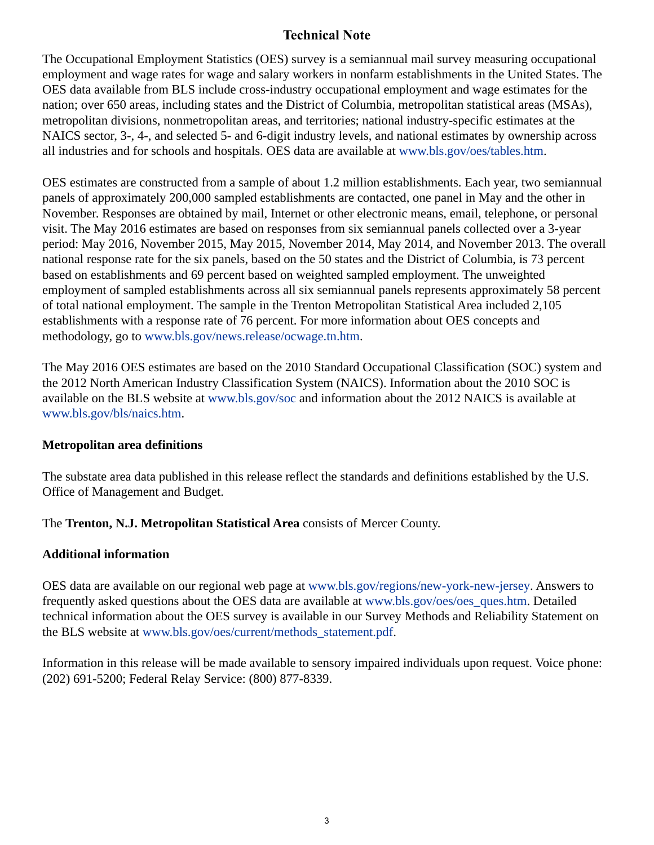## **Technical Note**

The Occupational Employment Statistics (OES) survey is a semiannual mail survey measuring occupational employment and wage rates for wage and salary workers in nonfarm establishments in the United States. The OES data available from BLS include cross-industry occupational employment and wage estimates for the nation; over 650 areas, including states and the District of Columbia, metropolitan statistical areas (MSAs), metropolitan divisions, nonmetropolitan areas, and territories; national industry-specific estimates at the NAICS sector, 3-, 4-, and selected 5- and 6-digit industry levels, and national estimates by ownership across all industries and for schools and hospitals. OES data are available at [www.bls.gov/oes/tables.htm](https://www.bls.gov/oes/tables.htm).

OES estimates are constructed from a sample of about 1.2 million establishments. Each year, two semiannual panels of approximately 200,000 sampled establishments are contacted, one panel in May and the other in November. Responses are obtained by mail, Internet or other electronic means, email, telephone, or personal visit. The May 2016 estimates are based on responses from six semiannual panels collected over a 3-year period: May 2016, November 2015, May 2015, November 2014, May 2014, and November 2013. The overall national response rate for the six panels, based on the 50 states and the District of Columbia, is 73 percent based on establishments and 69 percent based on weighted sampled employment. The unweighted employment of sampled establishments across all six semiannual panels represents approximately 58 percent of total national employment. The sample in the Trenton Metropolitan Statistical Area included 2,105 establishments with a response rate of 76 percent. For more information about OES concepts and methodology, go to [www.bls.gov/news.release/ocwage.tn.htm.](https://www.bls.gov/news.release/ocwage.tn.htm)

The May 2016 OES estimates are based on the 2010 Standard Occupational Classification (SOC) system and the 2012 North American Industry Classification System (NAICS). Information about the 2010 SOC is available on the BLS website at [www.bls.gov/soc](https://www.bls.gov/soc) and information about the 2012 NAICS is available at [www.bls.gov/bls/naics.htm.](https://www.bls.gov/bls/naics.htm)

### **Metropolitan area definitions**

The substate area data published in this release reflect the standards and definitions established by the U.S. Office of Management and Budget.

The **Trenton, N.J. Metropolitan Statistical Area** consists of Mercer County.

### **Additional information**

OES data are available on our regional web page at [www.bls.gov/regions/new-york-new-jersey](https://www.bls.gov/regions/new-york-new-jersey). Answers to frequently asked questions about the OES data are available at [www.bls.gov/oes/oes\\_ques.htm](https://www.bls.gov/oes/oes_ques.htm). Detailed technical information about the OES survey is available in our Survey Methods and Reliability Statement on the BLS website at [www.bls.gov/oes/current/methods\\_statement.pdf](https://www.bls.gov/oes/current/methods_statement.pdf).

Information in this release will be made available to sensory impaired individuals upon request. Voice phone: (202) 691-5200; Federal Relay Service: (800) 877-8339.